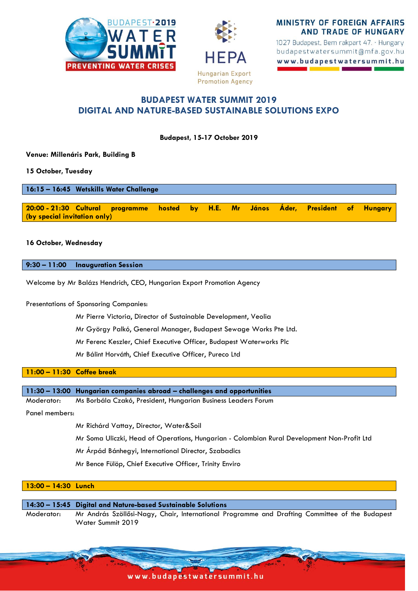



**MINISTRY OF FOREIGN AFFAIRS AND TRADE OF HUNGARY** 

1027 Budapest, Bem rakpart 47. · Hungary budapestwatersummit@mfa.gov.hu www.budapestwatersummit.hu

# **BUDAPEST WATER SUMMIT 2019 DIGITAL AND NATURE-BASED SUSTAINABLE SOLUTIONS EXPO**

**Budapest, 15-17 October 2019**

**Venue: Millenáris Park, Building B**

**15 October, Tuesday**

**16:15 – 16:45 Wetskills Water Challenge 20:00 - 21:30 Cultural programme hosted by H.E. Mr János Áder, President of Hungary (by special invitation only)**

### **16 October, Wednesday**

**9:30 – 11:00 Inauguration Session** 

Welcome by Mr Balázs Hendrich, CEO, Hungarian Export Promotion Agency

Presentations of Sponsoring Companies:

Mr Pierre Victoria, Director of Sustainable Development, Veolia

Mr György Palkó, General Manager, Budapest Sewage Works Pte Ltd.

Mr Ferenc Keszler, Chief Executive Officer, Budapest Waterworks Plc

Mr Bálint Horváth, Chief Executive Officer, Pureco Ltd

**11:00 – 11:30 Coffee break** 

**11:30 – 13:00 Hungarian companies abroad – challenges and opportunities**

Moderator: Ms Borbála Czakó, President, Hungarian Business Leaders Forum

Panel members:

Mr Richárd Vattay, Director, Water&Soil

Mr Soma Uliczki, Head of Operations, Hungarian - Colombian Rural Development Non-Profit Ltd

Mr Árpád Bánhegyi, International Director, Szabadics

Mr Bence Fülöp, Chief Executive Officer, Trinity Enviro

### **13:00 – 14:30 Lunch**

**14:30 – 15:45 Digital and Nature-based Sustainable Solutions**

Moderator: Mr András Szöllősi-Nagy, Chair, International Programme and Drafting Committee of the Budapest Water Summit 2019

www.budapestwatersummit.hu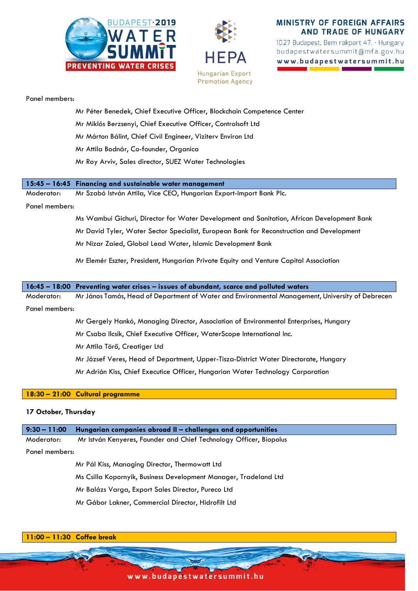



# MINISTRY OF FOREIGN AFFAIRS **AND TRADE OF HUNGARY**

1027 Budapest, Bem rakpart 47. · Hungary budapestwatersummit@mfa.gov.hu www.budapestwatersummit.hu

#### Panel members:

- Mr Péter Benedek, Chief Executive Officer, Blockchain Competence Center Mr Miklós Berzsenyi, Chief Executive Officer, Controlsoft Ltd
- Mr Márton Bálint, Chief Civil Engineer, Viziterv Environ Ltd
- Mr Attila Bodnár, Co-founder, Organica
- Mr Roy Arviv, Sales director, SUEZ Water Technologies

### **15:45 – 16:45 Financing and sustainable water management**

Moderator: Mr Szabó István Attila, Vice CEO, Hungarian Export-Import Bank Plc.

### Panel members:

Ms Wambui Gichuri, Director for Water Development and Sanitation, African Development Bank

Mr David Tyler, Water Sector Specialist, European Bank for Reconstruction and Development

Mr Nizar Zaied, Global Lead Water, Islamic Development Bank

Mr Elemér Eszter, President, Hungarian Private Equity and Venture Capital Association

|  |  |  | 16:45 - 18:00 Preventing water crises - issues of abundant, scarce and polluted waters |  |
|--|--|--|----------------------------------------------------------------------------------------|--|
|--|--|--|----------------------------------------------------------------------------------------|--|

Moderator: Mr János Tamás, Head of Department of Water and Environmental Management, University of Debrecen

#### Panel members:

Mr Gergely Hankó, Managing Director, Association of Environmental Enterprises, Hungary

Mr Csaba Ilcsik, Chief Executive Officer, WaterScope International Inc.

Mr Attila Törő, Creatiger Ltd

Mr József Veres, Head of Department, Upper-Tisza-District Water Directorate, Hungary

Mr Adrián Kiss, Chief Executice Officer, Hungarian Water Technology Corporation

### **18:30 – 21:00 Cultural programme**

## **17 October, Thursday**

| $9:30 - 11:00$ | Hungarian companies abroad II – challenges and opportunities       |  |
|----------------|--------------------------------------------------------------------|--|
| Moderator:     | Mr István Kenyeres, Founder and Chief Technology Officer, Biopolus |  |
| Panel members: |                                                                    |  |
|                | Mr Pál Kiss, Managing Director, Thermowatt Ltd                     |  |
|                | Ms Csilla Kopornyik, Business Development Manager, Tradeland Ltd   |  |
|                | Mr Balázs Varga, Export Sales Director, Pureco Ltd                 |  |
|                | Mr Gábor Lakner, Commercial Director, Hidrofilt Ltd                |  |



www.budapestwatersummit.hu